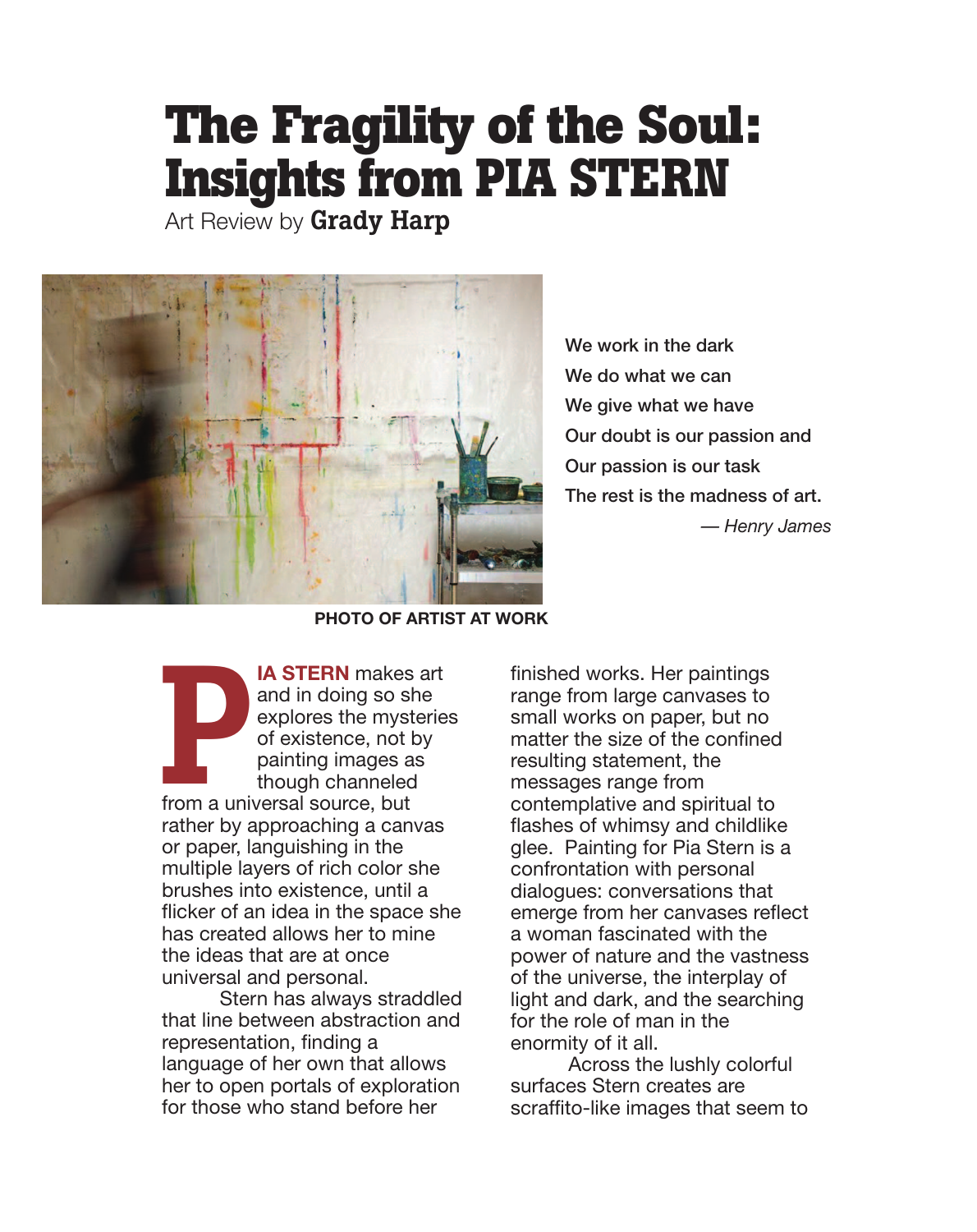## **The Fragility of the Soul: Insights from PIA STERN**

Art Review by Grady Harp



We work in the dark We do what we can We give what we have Our doubt is our passion and Our passion is our task The rest is the madness of art. *— Henry James*

**PHOTO OF ARTIST AT WORK**

**IA STERN** makes art and in doing so she explores the mysteries of existence, not by painting images as though channeled from a universal source, but rather by approaching a canvas or paper, languishing in the multiple layers of rich color she brushes into existence, until a flicker of an idea in the space she has created allows her to mine the ideas that are at once universal and personal. From a unit

Stern has always straddled that line between abstraction and representation, finding a language of her own that allows her to open portals of exploration for those who stand before her

finished works. Her paintings range from large canvases to small works on paper, but no matter the size of the confined resulting statement, the messages range from contemplative and spiritual to flashes of whimsy and childlike glee. Painting for Pia Stern is a confrontation with personal dialogues: conversations that emerge from her canvases reflect a woman fascinated with the power of nature and the vastness of the universe, the interplay of light and dark, and the searching for the role of man in the enormity of it all.

Across the lushly colorful surfaces Stern creates are scraffito-like images that seem to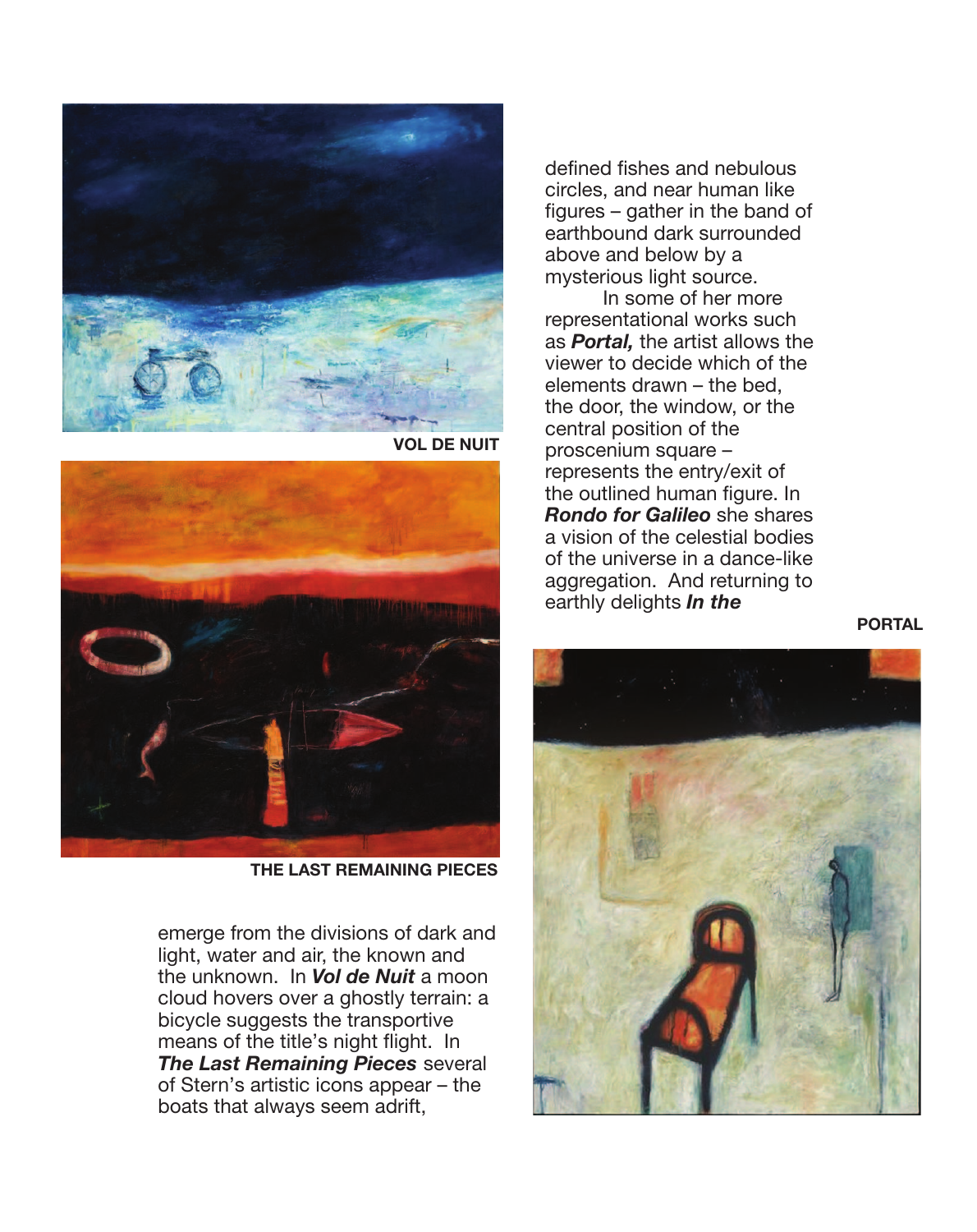

**VOL DE NUIT**



**THE LAST REMAINING PIECES**

emerge from the divisions of dark and light, water and air, the known and the unknown. In *Vol de Nuit* a moon cloud hovers over a ghostly terrain: a bicycle suggests the transportive means of the title's night flight. In *The Last Remaining Pieces* several of Stern's artistic icons appear – the boats that always seem adrift,

defined fishes and nebulous circles, and near human like figures – gather in the band of earthbound dark surrounded above and below by a mysterious light source.

In some of her more representational works such as *Portal,* the artist allows the viewer to decide which of the elements drawn – the bed, the door, the window, or the central position of the proscenium square – represents the entry/exit of the outlined human figure. In *Rondo for Galileo* she shares a vision of the celestial bodies of the universe in a dance-like aggregation. And returning to earthly delights *In the* 

**PORTAL**